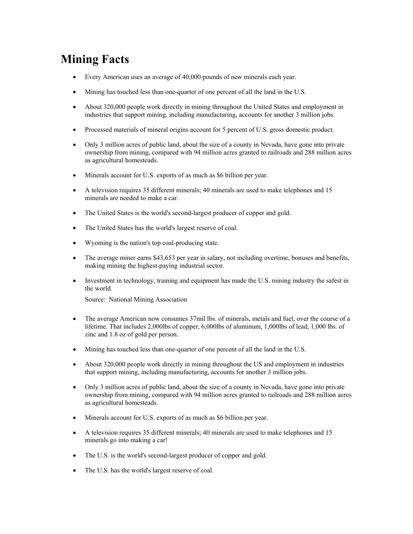## **Mining Facts**

- Every American uses an average of 40,000 pounds of new minerals each year.
- Mining has touched less than one-quarter of one percent of all the land in the U.S.
- About 320,000 people work directly in mining throughout the United States and employment in industries that support mining, including manufacturing, accounts for another 3 million jobs.
- Processed materials of mineral origins account for 5 percent of U.S. gross domestic product.
- Only 3 million acres of public land, about the size of a county in Nevada, have gone into private ownership from mining, compared with 94 million acres granted to railroads and 288 million acres as agricultural homesteads.
- Minerals account for U.S. exports of as much as \$6 billion per year.
- A television requires 35 different minerals; 40 minerals are used to make telephones and 15 minerals are needed to make a car.
- The United States is the world's second-largest producer of copper and gold.
- The United States has the world's largest reserve of coal.
- Wyoming is the nation's top coal-producing state.
- The average miner earns \$43,653 per year in salary, not including overtime, bonuses and benefits, making mining the highest-paying industrial sector.
- Investment in technology, training and equipment has made the U.S. mining industry the safest in the world.

Source: National Mining Association

- The average American now consumes 37mil lbs. of minerals, metals and fuel, over the course of a lifetime. That includes 2,000lbs of copper, 6,000lbs of aluminum, 1,000lbs of lead, 1,000 lbs. of zinc and 1.8 oz of gold per person.
- Mining has touched less than one-quarter of one percent of all the land in the U.S.
- About 320,000 people work directly in mining throughout the US and employment in industries that support mining, including manufacturing, accounts for another 3 million jobs.
- Only 3 million acres of public land, about the size of a county in Nevada, have gone into private ownership from mining, compared with 94 million acres granted to railroads and 288 million acres as agricultural homesteads.
- Minerals account for U.S. exports of as much as \$6 billion per year.
- A television requires 35 different minerals; 40 minerals are used to make telephones and 15 minerals go into making a car!
- The U.S. is the world's second-largest producer of copper and gold.
- The U.S. has the world's largest reserve of coal.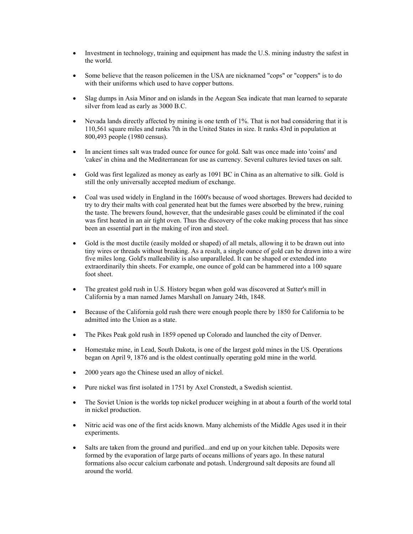- Investment in technology, training and equipment has made the U.S. mining industry the safest in the world.
- Some believe that the reason policemen in the USA are nicknamed "cops" or "coppers" is to do with their uniforms which used to have copper buttons.
- Slag dumps in Asia Minor and on islands in the Aegean Sea indicate that man learned to separate silver from lead as early as 3000 B.C.
- Nevada lands directly affected by mining is one tenth of 1%. That is not bad considering that it is 110,561 square miles and ranks 7th in the United States in size. It ranks 43rd in population at 800,493 people (1980 census).
- In ancient times salt was traded ounce for ounce for gold. Salt was once made into 'coins' and 'cakes' in china and the Mediterranean for use as currency. Several cultures levied taxes on salt.
- Gold was first legalized as money as early as 1091 BC in China as an alternative to silk. Gold is still the only universally accepted medium of exchange.
- Coal was used widely in England in the 1600's because of wood shortages. Brewers had decided to try to dry their malts with coal generated heat but the fumes were absorbed by the brew, ruining the taste. The brewers found, however, that the undesirable gases could be eliminated if the coal was first heated in an air tight oven. Thus the discovery of the coke making process that has since been an essential part in the making of iron and steel.
- Gold is the most ductile (easily molded or shaped) of all metals, allowing it to be drawn out into tiny wires or threads without breaking. As a result, a single ounce of gold can be drawn into a wire five miles long. Gold's malleability is also unparalleled. It can be shaped or extended into extraordinarily thin sheets. For example, one ounce of gold can be hammered into a 100 square foot sheet.
- The greatest gold rush in U.S. History began when gold was discovered at Sutter's mill in California by a man named James Marshall on January 24th, 1848.
- Because of the California gold rush there were enough people there by 1850 for California to be admitted into the Union as a state.
- The Pikes Peak gold rush in 1859 opened up Colorado and launched the city of Denver.
- Homestake mine, in Lead, South Dakota, is one of the largest gold mines in the US. Operations began on April 9, 1876 and is the oldest continually operating gold mine in the world.
- 2000 years ago the Chinese used an alloy of nickel.
- Pure nickel was first isolated in 1751 by Axel Cronstedt, a Swedish scientist.
- The Soviet Union is the worlds top nickel producer weighing in at about a fourth of the world total in nickel production.
- Nitric acid was one of the first acids known. Many alchemists of the Middle Ages used it in their experiments.
- Salts are taken from the ground and purified...and end up on your kitchen table. Deposits were formed by the evaporation of large parts of oceans millions of years ago. In these natural formations also occur calcium carbonate and potash. Underground salt deposits are found all around the world.